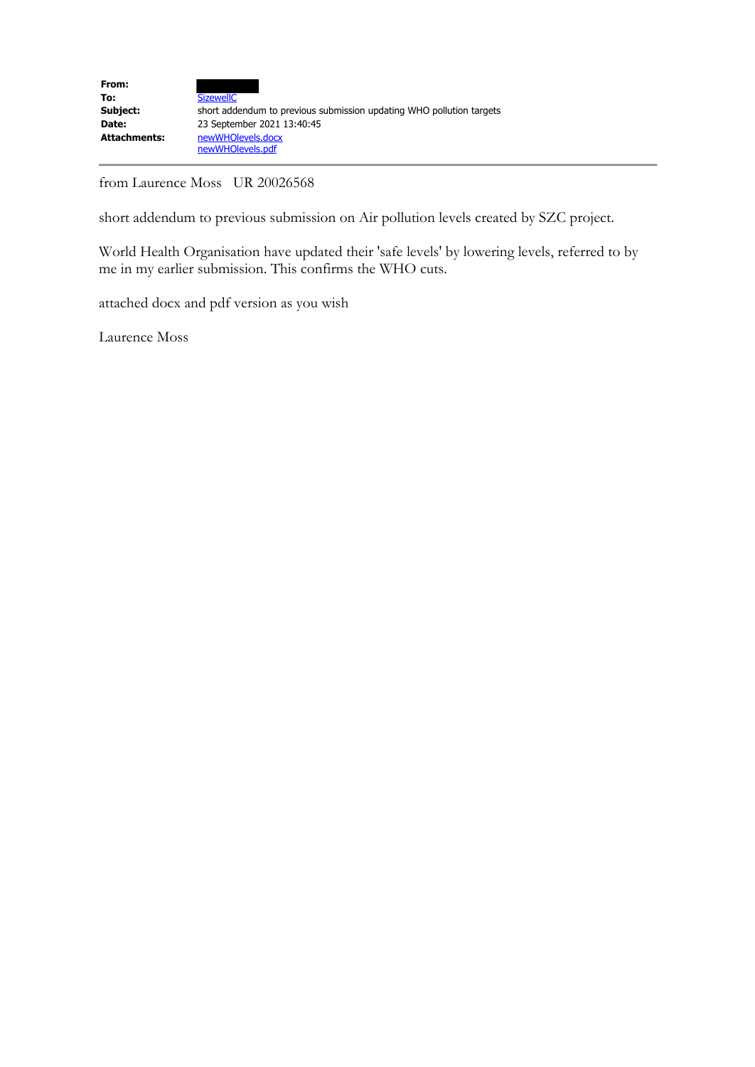

from Laurence Moss UR 20026568

short addendum to previous submission on Air pollution levels created by SZC project.

World Health Organisation have updated their 'safe levels' by lowering levels, referred to by me in my earlier submission. This confirms the WHO cuts.

attached docx and pdf version as you wish

Laurence Moss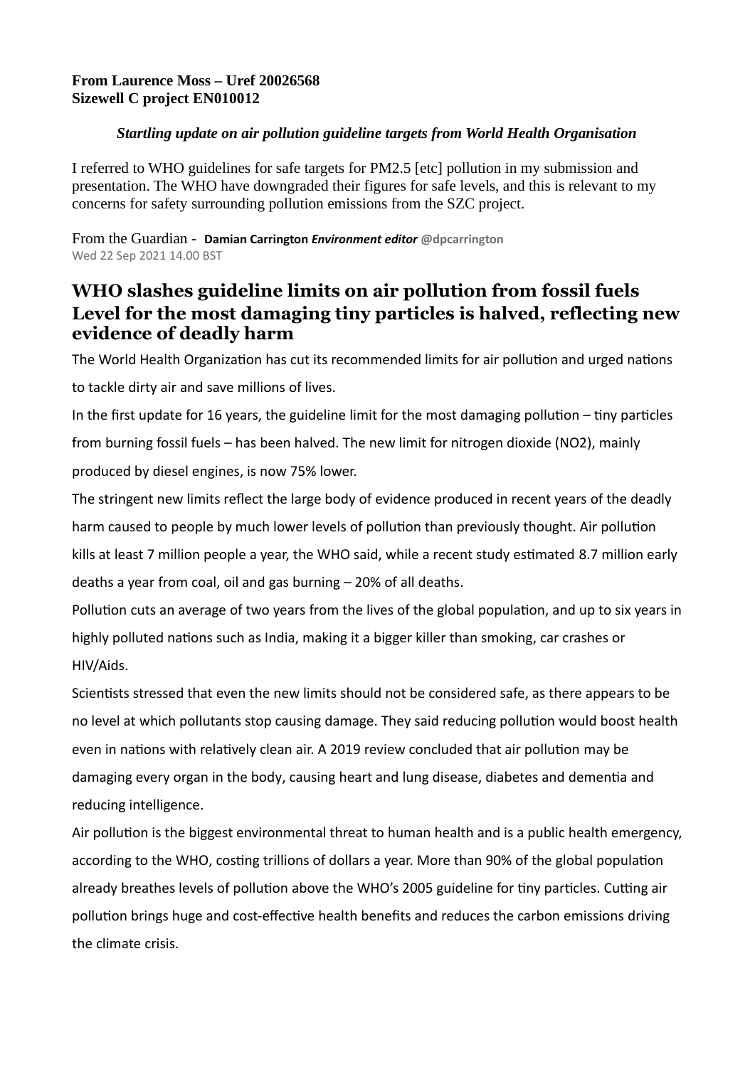## **From Laurence Moss – Uref 20026568 Sizewell C project EN010012**

## *Startling update on air pollution guideline targets from World Health Organisation*

I referred to WHO guidelines for safe targets for PM2.5 [etc] pollution in my submission and presentation. The WHO have downgraded their figures for safe levels, and this is relevant to my concerns for safety surrounding pollution emissions from the SZC project.

From the Guardian - **Damian Carrington** *Environment editor* **@dpcarrington** Wed 22 Sep 2021 14.00 BST

# **WHO slashes guideline limits on air pollution from fossil fuels Level for the most damaging tiny particles is halved, reflecting new evidence of deadly harm**

The World Health Organization has cut its recommended limits for air pollution and urged nations to tackle dirty air and save millions of lives.

In the first update for 16 years, the guideline limit for the most damaging pollution – tiny particles from burning fossil fuels – has been halved. The new limit for nitrogen dioxide (NO2), mainly produced by diesel engines, is now 75% lower.

The stringent new limits reflect the large body of evidence produced in recent years of the deadly harm caused to people by much lower levels of pollution than previously thought. Air pollution kills at least 7 million people a year, the WHO said, while a recent study estimated 8.7 million early deaths a year from coal, oil and gas burning – 20% of all deaths.

Pollution cuts an average of two years from the lives of the global population, and up to six years in highly polluted nations such as India, making it a bigger killer than smoking, car crashes or HIV/Aids.

Scientists stressed that even the new limits should not be considered safe, as there appears to be no level at which pollutants stop causing damage. They said reducing pollution would boost health even in nations with relatively clean air. A 2019 review concluded that air pollution may be damaging every organ in the body, causing heart and lung disease, diabetes and dementia and reducing intelligence.

Air pollution is the biggest environmental threat to human health and is a public health emergency, according to the WHO, costing trillions of dollars a year. More than 90% of the global population already breathes levels of pollution above the WHO's 2005 guideline for tiny particles. Cutting air pollution brings huge and cost-effective health benefits and reduces the carbon emissions driving the climate crisis.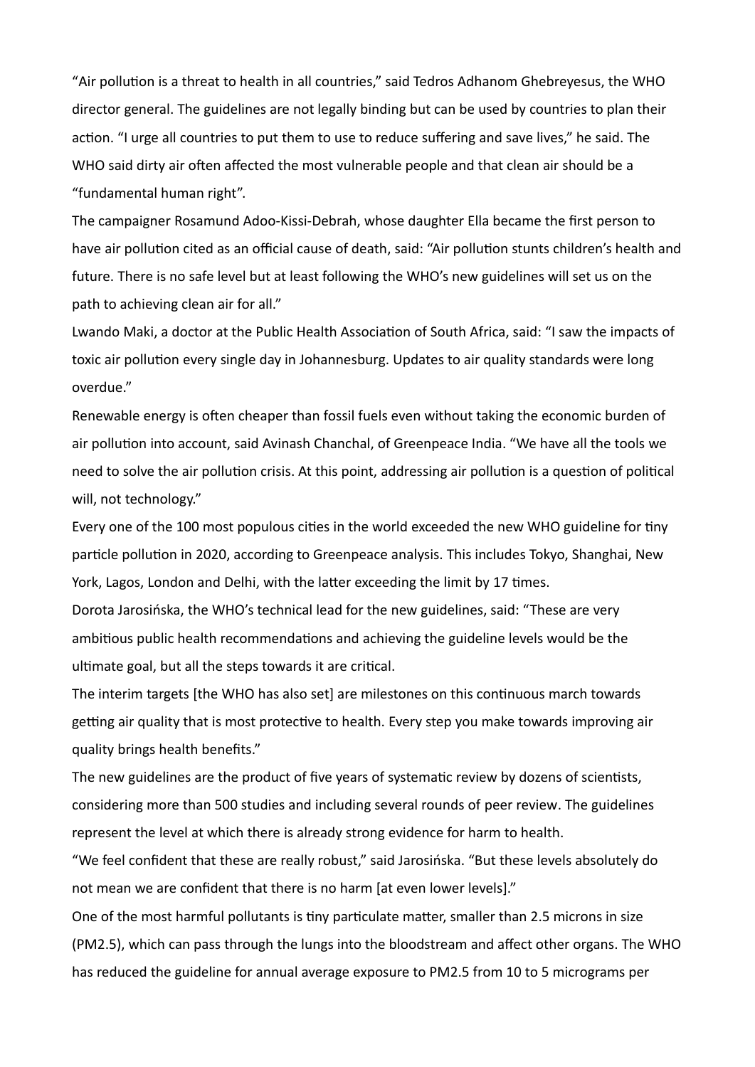"Air pollution is a threat to health in all countries," said Tedros Adhanom Ghebreyesus, the WHO director general. The guidelines are not legally binding but can be used by countries to plan their action. "I urge all countries to put them to use to reduce suffering and save lives," he said. The WHO said dirty air often affected the most vulnerable people and that clean air should be a "fundamental human right".

The campaigner Rosamund Adoo-Kissi-Debrah, whose daughter Ella became the first person to have air pollution cited as an official cause of death, said: "Air pollution stunts children's health and future. There is no safe level but at least following the WHO's new guidelines will set us on the path to achieving clean air for all."

Lwando Maki, a doctor at the Public Health Association of South Africa, said: "I saw the impacts of toxic air pollution every single day in Johannesburg. Updates to air quality standards were long overdue."

Renewable energy is often cheaper than fossil fuels even without taking the economic burden of air pollution into account, said Avinash Chanchal, of Greenpeace India. "We have all the tools we need to solve the air pollution crisis. At this point, addressing air pollution is a question of political will, not technology."

Every one of the 100 most populous cities in the world exceeded the new WHO guideline for tiny particle pollution in 2020, according to Greenpeace analysis. This includes Tokyo, Shanghai, New York, Lagos, London and Delhi, with the latter exceeding the limit by 17 times.

Dorota Jarosińska, the WHO's technical lead for the new guidelines, said: "These are very ambitious public health recommendations and achieving the guideline levels would be the ultimate goal, but all the steps towards it are critical.

The interim targets [the WHO has also set] are milestones on this continuous march towards getting air quality that is most protective to health. Every step you make towards improving air quality brings health benefits."

The new guidelines are the product of five years of systematic review by dozens of scientists, considering more than 500 studies and including several rounds of peer review. The guidelines represent the level at which there is already strong evidence for harm to health.

"We feel confident that these are really robust," said Jarosińska. "But these levels absolutely do not mean we are confident that there is no harm [at even lower levels]."

One of the most harmful pollutants is tiny particulate matter, smaller than 2.5 microns in size (PM2.5), which can pass through the lungs into the bloodstream and affect other organs. The WHO has reduced the guideline for annual average exposure to PM2.5 from 10 to 5 micrograms per